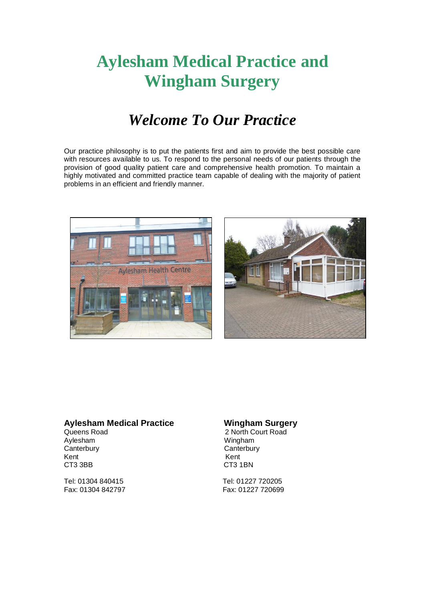# **Aylesham Medical Practice and Wingham Surgery**

### *Welcome To Our Practice*

Our practice philosophy is to put the patients first and aim to provide the best possible care with resources available to us. To respond to the personal needs of our patients through the provision of good quality patient care and comprehensive health promotion. To maintain a highly motivated and committed practice team capable of dealing with the majority of patient problems in an efficient and friendly manner.





## **Aylesham Medical Practice Wingham Surgery<br>Queens Road 2 North Court Road**

Canterbury Canterbury Canterbury Kent Kent CT3 3BB CT3 1BN

Tel: 01304 840415 Tel: 01227 720205

Queens Road 2 North Court Road<br>Aylesham 2 Wingham 2 Wingham Wingham

Fax: 01227 720699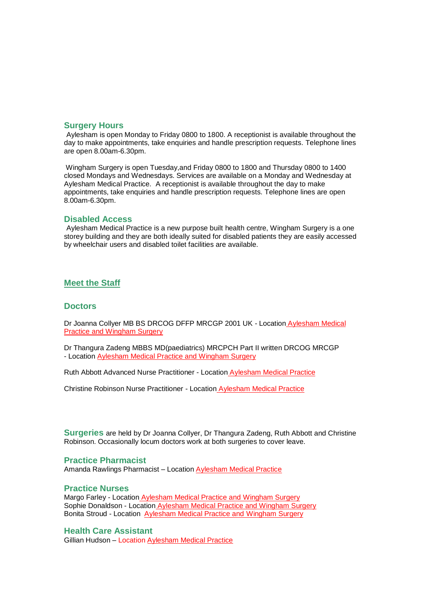#### **Surgery Hours**

Aylesham is open Monday to Friday 0800 to 1800. A receptionist is available throughout the day to make appointments, take enquiries and handle prescription requests. Telephone lines are open 8.00am-6.30pm.

Wingham Surgery is open Tuesday,and Friday 0800 to 1800 and Thursday 0800 to 1400 closed Mondays and Wednesdays. Services are available on a Monday and Wednesday at Aylesham Medical Practice. A receptionist is available throughout the day to make appointments, take enquiries and handle prescription requests. Telephone lines are open 8.00am-6.30pm.

#### **Disabled Access**

Aylesham Medical Practice is a new purpose built health centre, Wingham Surgery is a one storey building and they are both ideally suited for disabled patients they are easily accessed by wheelchair users and disabled toilet facilities are available.

#### **Meet the Staff**

#### **Doctors**

Dr Joanna Collyer MB BS DRCOG DFFP MRCGP 2001 UK - Location Aylesham Medical Practice and Wingham Surgery

Dr Thangura Zadeng MBBS MD(paediatrics) MRCPCH Part II written DRCOG MRCGP - Location Aylesham Medical Practice and Wingham Surgery

Ruth Abbott Advanced Nurse Practitioner - Location Aylesham Medical Practice

Christine Robinson Nurse Practitioner - Location Aylesham Medical Practice

**Surgeries** are held by Dr Joanna Collyer, Dr Thangura Zadeng, Ruth Abbott and Christine Robinson. Occasionally locum doctors work at both surgeries to cover leave.

#### **Practice Pharmacist**

Amanda Rawlings Pharmacist - Location **Aylesham Medical Practice** 

#### **Practice Nurses**

Margo Farley - Location Aylesham Medical Practice and Wingham Surgery Sophie Donaldson - Location Aylesham Medical Practice and Wingham Surgery Bonita Stroud - Location Aylesham Medical Practice and Wingham Surgery

#### **Health Care Assistant**

Gillian Hudson – Location Aylesham Medical Practice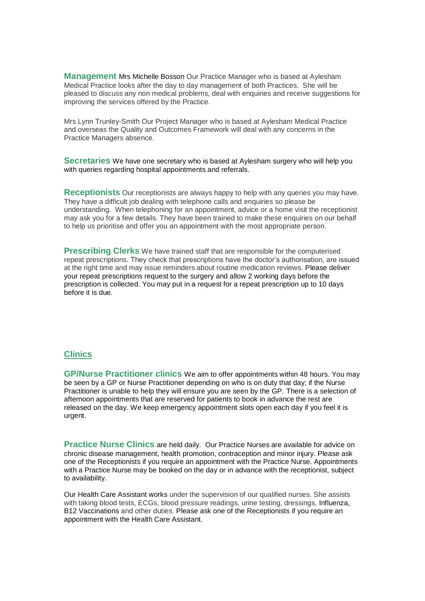**Management** Mrs Michelle Bosson Our Practice Manager who is based at Aylesham Medical Practice looks after the day to day management of both Practices. She will be pleased to discuss any non medical problems, deal with enquiries and receive suggestions for improving the services offered by the Practice.

Mrs Lynn Trunley-Smith Our Project Manager who is based at Aylesham Medical Practice and overseas the Quality and Outcomes Framework will deal with any concerns in the Practice Managers absence.

**Secretaries** We have one secretary who is based at Aylesham surgery who will help you with queries regarding hospital appointments and referrals.

**Receptionists** Our receptionists are always happy to help with any queries you may have. They have a difficult job dealing with telephone calls and enquiries so please be understanding. When telephoning for an appointment, advice or a home visit the receptionist may ask you for a few details. They have been trained to make these enquiries on our behalf to help us prioritise and offer you an appointment with the most appropriate person.

**Prescribing Clerks** We have trained staff that are responsible for the computerised repeat prescriptions. They check that prescriptions have the doctor's authorisation, are issued at the right time and may issue reminders about routine medication reviews. Please deliver your repeat prescriptions request to the surgery and allow 2 working days before the prescription is collected. You may put in a request for a repeat prescription up to 10 days before it is due.

#### **Clinics**

**GP/Nurse Practitioner clinics** We aim to offer appointments within 48 hours. You may be seen by a GP or Nurse Practitioner depending on who is on duty that day; if the Nurse Practitioner is unable to help they will ensure you are seen by the GP. There is a selection of afternoon appointments that are reserved for patients to book in advance the rest are released on the day. We keep emergency appointment slots open each day if you feel it is urgent.

**Practice Nurse Clinics** are held daily. Our Practice Nurses are available for advice on chronic disease management, health promotion, contraception and minor injury. Please ask one of the Receptionists if you require an appointment with the Practice Nurse. Appointments with a Practice Nurse may be booked on the day or in advance with the receptionist, subject to availability.

Our Health Care Assistant works under the supervision of our qualified nurses. She assists with taking blood tests, ECGs, blood pressure readings, urine testing, dressings, Influenza, B12 Vaccinations and other duties. Please ask one of the Receptionists if you require an appointment with the Health Care Assistant.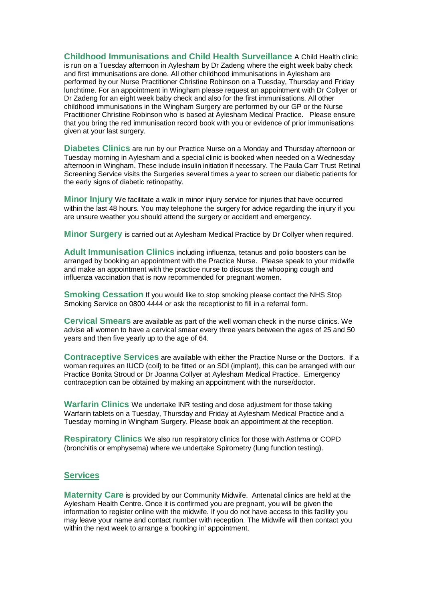**Childhood Immunisations and Child Health Surveillance** A Child Health clinic is run on a Tuesday afternoon in Aylesham by Dr Zadeng where the eight week baby check and first immunisations are done. All other childhood immunisations in Aylesham are performed by our Nurse Practitioner Christine Robinson on a Tuesday, Thursday and Friday lunchtime. For an appointment in Wingham please request an appointment with Dr Collyer or Dr Zadeng for an eight week baby check and also for the first immunisations. All other childhood immunisations in the Wingham Surgery are performed by our GP or the Nurse Practitioner Christine Robinson who is based at Aylesham Medical Practice. Please ensure that you bring the red immunisation record book with you or evidence of prior immunisations given at your last surgery.

**Diabetes Clinics** are run by our Practice Nurse on a Monday and Thursday afternoon or Tuesday morning in Aylesham and a special clinic is booked when needed on a Wednesday afternoon in Wingham. These include insulin initiation if necessary. The Paula Carr Trust Retinal Screening Service visits the Surgeries several times a year to screen our diabetic patients for the early signs of diabetic retinopathy.

**Minor Injury** We facilitate a walk in minor injury service for injuries that have occurred within the last 48 hours. You may telephone the surgery for advice regarding the injury if you are unsure weather you should attend the surgery or accident and emergency.

**Minor Surgery** is carried out at Aylesham Medical Practice by Dr Collyer when required.

**Adult Immunisation Clinics** including influenza, tetanus and polio boosters can be arranged by booking an appointment with the Practice Nurse. Please speak to your midwife and make an appointment with the practice nurse to discuss the whooping cough and influenza vaccination that is now recommended for pregnant women.

**Smoking Cessation** If you would like to stop smoking please contact the NHS Stop Smoking Service on 0800 4444 or ask the receptionist to fill in a referral form.

**Cervical Smears** are available as part of the well woman check in the nurse clinics. We advise all women to have a cervical smear every three years between the ages of 25 and 50 years and then five yearly up to the age of 64.

**Contraceptive Services** are available with either the Practice Nurse or the Doctors. If a woman requires an IUCD (coil) to be fitted or an SDI (implant), this can be arranged with our Practice Bonita Stroud or Dr Joanna Collyer at Aylesham Medical Practice. Emergency contraception can be obtained by making an appointment with the nurse/doctor.

**Warfarin Clinics** We undertake INR testing and dose adjustment for those taking Warfarin tablets on a Tuesday, Thursday and Friday at Aylesham Medical Practice and a Tuesday morning in Wingham Surgery. Please book an appointment at the reception.

**Respiratory Clinics** We also run respiratory clinics for those with Asthma or COPD (bronchitis or emphysema) where we undertake Spirometry (lung function testing).

#### **Services**

**Maternity Care** is provided by our Community Midwife. Antenatal clinics are held at the Aylesham Health Centre. Once it is confirmed you are pregnant, you will be given the information to register online with the midwife. If you do not have access to this facility you may leave your name and contact number with reception. The Midwife will then contact you within the next week to arrange a 'booking in' appointment.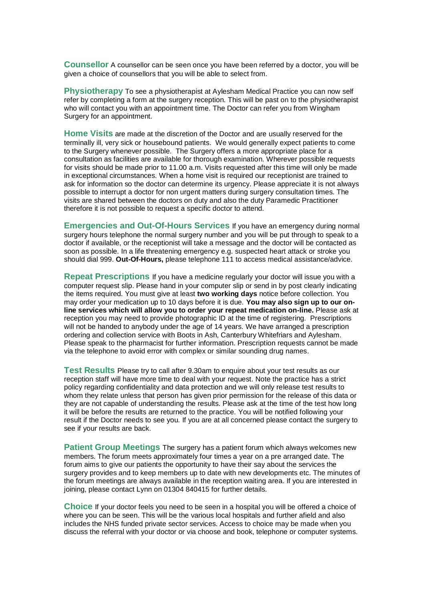**Counsellor** A counsellor can be seen once you have been referred by a doctor, you will be given a choice of counsellors that you will be able to select from.

**Physiotherapy** To see a physiotherapist at Aylesham Medical Practice you can now self refer by completing a form at the surgery reception. This will be past on to the physiotherapist who will contact you with an appointment time. The Doctor can refer you from Wingham Surgery for an appointment.

**Home Visits** are made at the discretion of the Doctor and are usually reserved for the terminally ill, very sick or housebound patients. We would generally expect patients to come to the Surgery whenever possible. The Surgery offers a more appropriate place for a consultation as facilities are available for thorough examination. Wherever possible requests for visits should be made prior to 11.00 a.m. Visits requested after this time will only be made in exceptional circumstances. When a home visit is required our receptionist are trained to ask for information so the doctor can determine its urgency. Please appreciate it is not always possible to interrupt a doctor for non urgent matters during surgery consultation times. The visits are shared between the doctors on duty and also the duty Paramedic Practitioner therefore it is not possible to request a specific doctor to attend.

**Emergencies and Out-Of-Hours Services** If you have an emergency during normal surgery hours telephone the normal surgery number and you will be put through to speak to a doctor if available, or the receptionist will take a message and the doctor will be contacted as soon as possible. In a life threatening emergency e.g. suspected heart attack or stroke you should dial 999. **Out-Of-Hours,** please telephone 111 to access medical assistance/advice.

**Repeat Prescriptions** If you have a medicine regularly your doctor will issue you with a computer request slip. Please hand in your computer slip or send in by post clearly indicating the items required. You must give at least **two working days** notice before collection. You may order your medication up to 10 days before it is due. **You may also sign up to our online services which will allow you to order your repeat medication on-line.** Please ask at reception you may need to provide photographic ID at the time of registering. Prescriptions will not be handed to anybody under the age of 14 years. We have arranged a prescription ordering and collection service with Boots in Ash, Canterbury Whitefriars and Aylesham. Please speak to the pharmacist for further information. Prescription requests cannot be made via the telephone to avoid error with complex or similar sounding drug names.

**Test Results** Please try to call after 9.30am to enquire about your test results as our reception staff will have more time to deal with your request. Note the practice has a strict policy regarding confidentiality and data protection and we will only release test results to whom they relate unless that person has given prior permission for the release of this data or they are not capable of understanding the results. Please ask at the time of the test how long it will be before the results are returned to the practice. You will be notified following your result if the Doctor needs to see you. If you are at all concerned please contact the surgery to see if your results are back.

**Patient Group Meetings** The surgery has a patient forum which always welcomes new members. The forum meets approximately four times a year on a pre arranged date. The forum aims to give our patients the opportunity to have their say about the services the surgery provides and to keep members up to date with new developments etc. The minutes of the forum meetings are always available in the reception waiting area. If you are interested in joining, please contact Lynn on 01304 840415 for further details.

**Choice** If your doctor feels you need to be seen in a hospital you will be offered a choice of where you can be seen. This will be the various local hospitals and further afield and also includes the NHS funded private sector services. Access to choice may be made when you discuss the referral with your doctor or via choose and book, telephone or computer systems.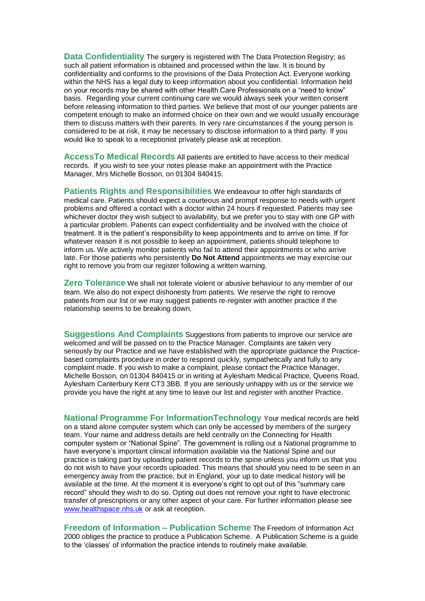**Data Confidentiality** The surgery is registered with The Data Protection Registry; as such all patient information is obtained and processed within the law. It is bound by confidentiality and conforms to the provisions of the Data Protection Act. Everyone working within the NHS has a legal duty to keep information about you confidential. Information held on your records may be shared with other Health Care Professionals on a "need to know" basis. Regarding your current continuing care we would always seek your written consent before releasing information to third parties. We believe that most of our younger patients are competent enough to make an informed choice on their own and we would usually encourage them to discuss matters with their parents. In very rare circumstances if the young person is considered to be at risk, it may be necessary to disclose information to a third party. If you would like to speak to a receptionist privately please ask at reception.

**AccessTo Medical Records** All patients are entitled to have access to their medical records. If you wish to see your notes please make an appointment with the Practice Manager, Mrs Michelle Bosson, on 01304 840415.

**Patients Rights and Responsibilities** We endeavour to offer high standards of medical care. Patients should expect a courteous and prompt response to needs with urgent problems and offered a contact with a doctor within 24 hours if requested. Patients may see whichever doctor they wish subject to availability, but we prefer you to stay with one GP with a particular problem. Patients can expect confidentiality and be involved with the choice of treatment. It is the patient's responsibility to keep appointments and to arrive on time. If for whatever reason it is not possible to keep an appointment, patients should telephone to inform us. We actively monitor patients who fail to attend their appointments or who arrive late. For those patients who persistently **Do Not Attend** appointments we may exercise our right to remove you from our register following a written warning.

**Zero Tolerance** We shall not tolerate violent or abusive behaviour to any member of our team. We also do not expect dishonesty from patients. We reserve the right to remove patients from our list or we may suggest patients re-register with another practice if the relationship seems to be breaking down.

**Suggestions And Complaints** Suggestions from patients to improve our service are welcomed and will be passed on to the Practice Manager. Complaints are taken very seriously by our Practice and we have established with the appropriate guidance the Practicebased complaints procedure in order to respond quickly, sympathetically and fully to any complaint made. If you wish to make a complaint, please contact the Practice Manager, Michelle Bosson, on 01304 840415 or in writing at Aylesham Medical Practice, Queens Road, Aylesham Canterbury Kent CT3 3BB. If you are seriously unhappy with us or the service we provide you have the right at any time to leave our list and register with another Practice.

**National Programme For InformationTechnology** Your medical records are held on a stand alone computer system which can only be accessed by members of the surgery team. Your name and address details are held centrally on the Connecting for Health computer system or "National Spine". The government is rolling out a National programme to have everyone's important clinical information available via the National Spine and our practice is taking part by uploading patient records to the spine unless you inform us that you do not wish to have your records uploaded. This means that should you need to be seen in an emergency away from the practice, but in England, your up to date medical history will be available at the time. At the moment it is everyone's right to opt out of this "summary care record" should they wish to do so. Opting out does not remove your right to have electronic transfer of prescriptions or any other aspect of your care. For further information please see [www.healthspace.nhs.uk](http://www.healthspace.nhs.uk/) or ask at reception.

**Freedom of Information – Publication Scheme** The Freedom of Information Act 2000 obliges the practice to produce a Publication Scheme. A Publication Scheme is a guide to the 'classes' of information the practice intends to routinely make available.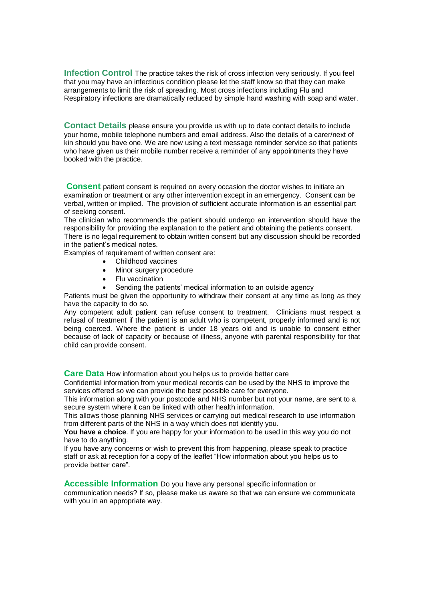**Infection Control** The practice takes the risk of cross infection very seriously. If you feel that you may have an infectious condition please let the staff know so that they can make arrangements to limit the risk of spreading. Most cross infections including Flu and Respiratory infections are dramatically reduced by simple hand washing with soap and water.

**Contact Details** please ensure you provide us with up to date contact details to include your home, mobile telephone numbers and email address. Also the details of a carer/next of kin should you have one. We are now using a text message reminder service so that patients who have given us their mobile number receive a reminder of any appointments they have booked with the practice.

**Consent** patient consent is required on every occasion the doctor wishes to initiate an examination or treatment or any other intervention except in an emergency. Consent can be verbal, written or implied. The provision of sufficient accurate information is an essential part of seeking consent.

The clinician who recommends the patient should undergo an intervention should have the responsibility for providing the explanation to the patient and obtaining the patients consent. There is no legal requirement to obtain written consent but any discussion should be recorded in the patient's medical notes.

Examples of requirement of written consent are:

- Childhood vaccines
- Minor surgery procedure
- Flu vaccination
- Sending the patients' medical information to an outside agency

Patients must be given the opportunity to withdraw their consent at any time as long as they have the capacity to do so.

Any competent adult patient can refuse consent to treatment. Clinicians must respect a refusal of treatment if the patient is an adult who is competent, properly informed and is not being coerced. Where the patient is under 18 years old and is unable to consent either because of lack of capacity or because of illness, anyone with parental responsibility for that child can provide consent.

**Care Data** How information about you helps us to provide better care

Confidential information from your medical records can be used by the NHS to improve the services offered so we can provide the best possible care for everyone.

This information along with your postcode and NHS number but not your name, are sent to a secure system where it can be linked with other health information.

This allows those planning NHS services or carrying out medical research to use information from different parts of the NHS in a way which does not identify you.

**You have a choice**. If you are happy for your information to be used in this way you do not have to do anything.

If you have any concerns or wish to prevent this from happening, please speak to practice staff or ask at reception for a copy of the leaflet "How information about you helps us to provide better care".

**Accessible Information** Do you have any personal specific information or

communication needs? If so, please make us aware so that we can ensure we communicate with you in an appropriate way.